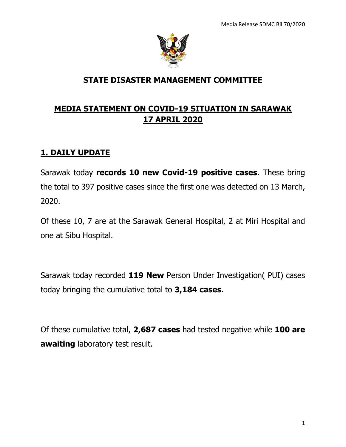

### **STATE DISASTER MANAGEMENT COMMITTEE**

### **MEDIA STATEMENT ON COVID-19 SITUATION IN SARAWAK 17 APRIL 2020**

### **1. DAILY UPDATE**

Sarawak today **records 10 new Covid-19 positive cases**. These bring the total to 397 positive cases since the first one was detected on 13 March, 2020.

Of these 10, 7 are at the Sarawak General Hospital, 2 at Miri Hospital and one at Sibu Hospital.

Sarawak today recorded **119 New** Person Under Investigation( PUI) cases today bringing the cumulative total to **3,184 cases.**

Of these cumulative total, **2,687 cases** had tested negative while **100 are awaiting** laboratory test result.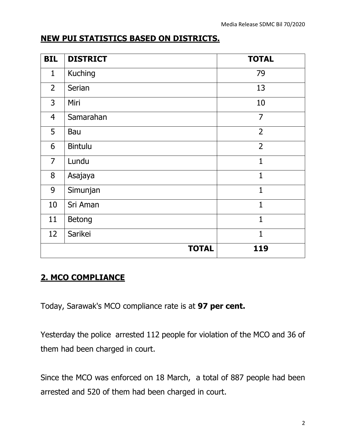### **NEW PUI STATISTICS BASED ON DISTRICTS.**

| <b>BIL</b>     | <b>DISTRICT</b> | <b>TOTAL</b>   |
|----------------|-----------------|----------------|
| $\mathbf{1}$   | <b>Kuching</b>  | 79             |
| $\overline{2}$ | Serian          | 13             |
| 3              | Miri            | 10             |
| $\overline{4}$ | Samarahan       | $\overline{7}$ |
| 5              | Bau             | $\overline{2}$ |
| 6              | <b>Bintulu</b>  | $\overline{2}$ |
| $\overline{7}$ | Lundu           | $\mathbf{1}$   |
| 8              | Asajaya         | $\overline{1}$ |
| 9              | Simunjan        | $\mathbf{1}$   |
| 10             | Sri Aman        | 1              |
| 11             | Betong          | $\mathbf{1}$   |
| 12             | Sarikei         | $\overline{1}$ |
|                | <b>TOTAL</b>    | 119            |

### **2. MCO COMPLIANCE**

Today, Sarawak's MCO compliance rate is at **97 per cent.**

Yesterday the police arrested 112 people for violation of the MCO and 36 of them had been charged in court.

Since the MCO was enforced on 18 March, a total of 887 people had been arrested and 520 of them had been charged in court.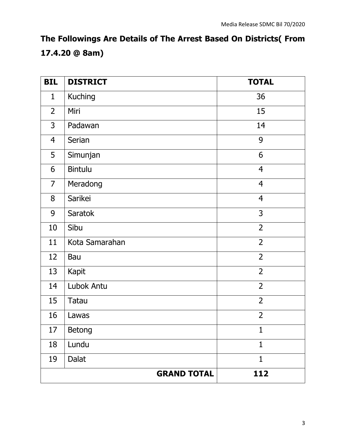**The Followings Are Details of The Arrest Based On Districts( From 17.4.20 @ 8am)**

| <b>BIL</b>     | <b>DISTRICT</b>    | <b>TOTAL</b>   |
|----------------|--------------------|----------------|
| $\mathbf{1}$   | <b>Kuching</b>     | 36             |
| $\overline{2}$ | Miri               | 15             |
| 3              | Padawan            | 14             |
| $\overline{4}$ | Serian             | 9              |
| 5              | Simunjan           | 6              |
| 6              | <b>Bintulu</b>     | $\overline{4}$ |
| $\overline{7}$ | Meradong           | $\overline{4}$ |
| 8              | Sarikei            | $\overline{4}$ |
| 9              | Saratok            | 3              |
| 10             | Sibu               | $\overline{2}$ |
| 11             | Kota Samarahan     | $\overline{2}$ |
| 12             | Bau                | $\overline{2}$ |
| 13             | Kapit              | $\overline{2}$ |
| 14             | Lubok Antu         | $\overline{2}$ |
| 15             | Tatau              | $\overline{2}$ |
| 16             | Lawas              | $\overline{2}$ |
| 17             | Betong             | $\mathbf 1$    |
| 18             | Lundu              | $\mathbf{1}$   |
| 19             | Dalat              | 1              |
|                | <b>GRAND TOTAL</b> | 112            |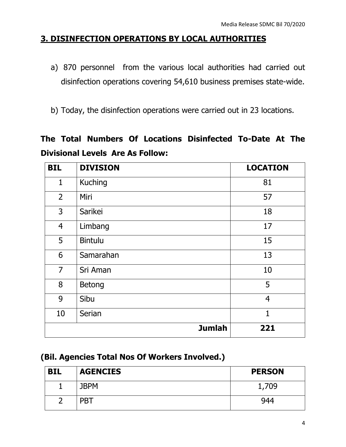### **3. DISINFECTION OPERATIONS BY LOCAL AUTHORITIES**

- a) 870 personnel from the various local authorities had carried out disinfection operations covering 54,610 business premises state-wide.
- b) Today, the disinfection operations were carried out in 23 locations.

### **The Total Numbers Of Locations Disinfected To-Date At The Divisional Levels Are As Follow:**

| <b>BIL</b>     | <b>DIVISION</b> | <b>LOCATION</b> |
|----------------|-----------------|-----------------|
| $\mathbf{1}$   | <b>Kuching</b>  | 81              |
| $\overline{2}$ | Miri            | 57              |
| 3              | Sarikei         | 18              |
| $\overline{4}$ | Limbang         | 17              |
| 5              | <b>Bintulu</b>  | 15              |
| 6              | Samarahan       | 13              |
| $\overline{7}$ | Sri Aman        | 10              |
| 8              | <b>Betong</b>   | 5               |
| 9              | Sibu            | $\overline{4}$  |
| 10             | Serian          | $\mathbf{1}$    |
|                | <b>Jumlah</b>   | 221             |

### **(Bil. Agencies Total Nos Of Workers Involved.)**

| <b>BIL</b> | <b>AGENCIES</b> | <b>PERSON</b> |
|------------|-----------------|---------------|
|            | <b>JBPM</b>     | 1,709         |
|            | <b>PBT</b>      | 944           |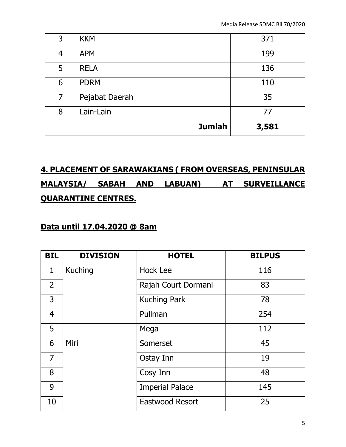|                | <b>Jumlah</b>  | 3,581 |
|----------------|----------------|-------|
| 8              | Lain-Lain      | 77    |
| 7              | Pejabat Daerah | 35    |
| 6              | <b>PDRM</b>    | 110   |
| 5              | <b>RELA</b>    | 136   |
| $\overline{4}$ | <b>APM</b>     | 199   |
| 3              | <b>KKM</b>     | 371   |

## **4. PLACEMENT OF SARAWAKIANS ( FROM OVERSEAS, PENINSULAR MALAYSIA/ SABAH AND LABUAN) AT SURVEILLANCE QUARANTINE CENTRES.**

#### **Data until 17.04.2020 @ 8am**

| <b>BIL</b>     | <b>DIVISION</b> | <b>HOTEL</b>           | <b>BILPUS</b> |
|----------------|-----------------|------------------------|---------------|
| 1              | <b>Kuching</b>  | Hock Lee               | 116           |
| $\overline{2}$ |                 | Rajah Court Dormani    | 83            |
| 3              |                 | <b>Kuching Park</b>    | 78            |
| 4              |                 | Pullman                | 254           |
| 5              |                 | Mega                   | 112           |
| 6              | Miri            | Somerset               | 45            |
| $\overline{7}$ |                 | Ostay Inn              | 19            |
| 8              |                 | Cosy Inn               | 48            |
| 9              |                 | <b>Imperial Palace</b> | 145           |
| 10             |                 | Eastwood Resort        | 25            |